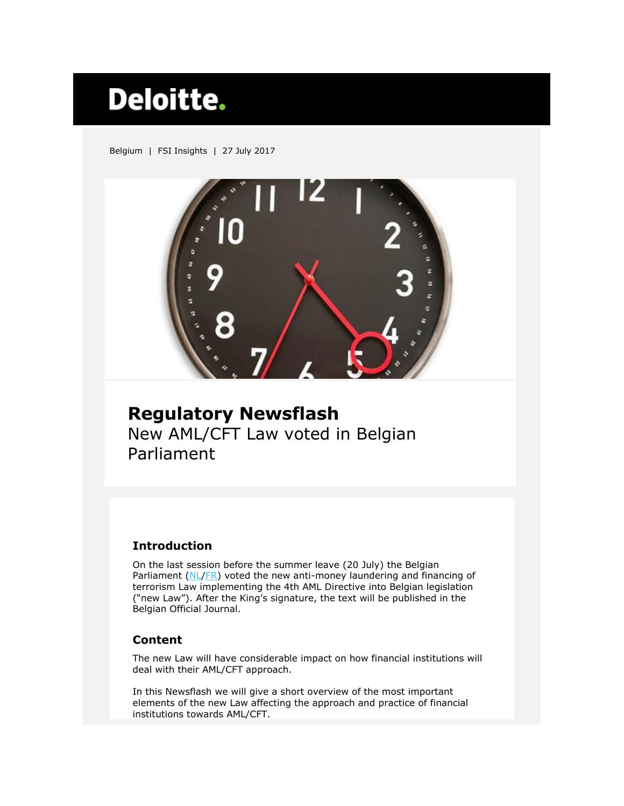# **Deloitte.**

Belgium | FSI Insights | 27 July 2017



# **Regulatory Newsflash** New AML/CFT Law voted in Belgian Parliament

# **Introduction**

On the last session before the summer leave (20 July) the Belgian Parliament  $(NL/FR)$  $(NL/FR)$  voted the new anti-money laundering and financing of terrorism Law implementing the 4th AML Directive into Belgian legislation ("new Law"). After the King's signature, the text will be published in the Belgian Official Journal.

# **Content**

The new Law will have considerable impact on how financial institutions will deal with their AML/CFT approach.

In this Newsflash we will give a short overview of the most important elements of the new Law affecting the approach and practice of financial institutions towards AML/CFT.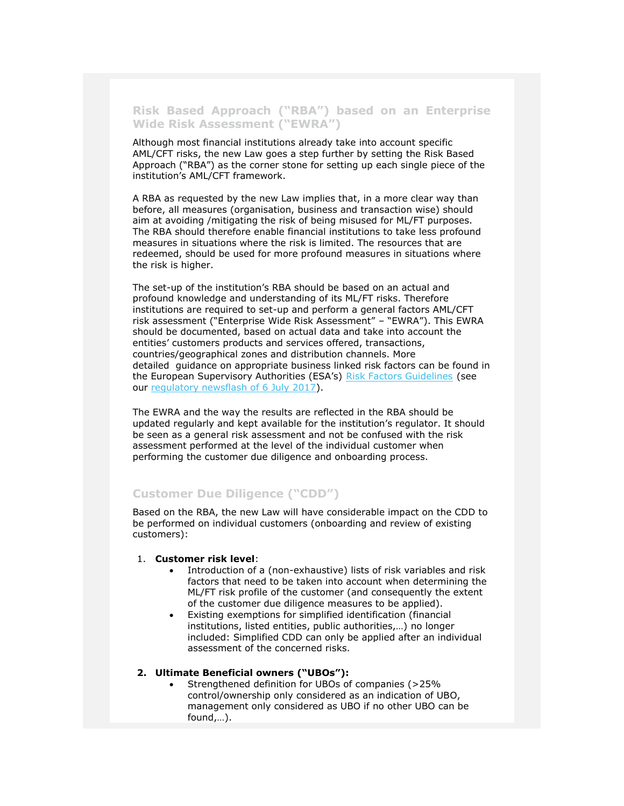**Risk Based Approach ("RBA") based on an Enterprise Wide Risk Assessment ("EWRA")**

Although most financial institutions already take into account specific AML/CFT risks, the new Law goes a step further by setting the Risk Based Approach ("RBA") as the corner stone for setting up each single piece of the institution's AML/CFT framework.

A RBA as requested by the new Law implies that, in a more clear way than before, all measures (organisation, business and transaction wise) should aim at avoiding /mitigating the risk of being misused for ML/FT purposes. The RBA should therefore enable financial institutions to take less profound measures in situations where the risk is limited. The resources that are redeemed, should be used for more profound measures in situations where the risk is higher.

The set-up of the institution's RBA should be based on an actual and profound knowledge and understanding of its ML/FT risks. Therefore institutions are required to set-up and perform a general factors AML/CFT risk assessment ("Enterprise Wide Risk Assessment" – "EWRA"). This EWRA should be documented, based on actual data and take into account the entities' customers products and services offered, transactions, countries/geographical zones and distribution channels. More detailed guidance on appropriate business linked risk factors can be found in the European Supervisory Authorities (ESA's) [Risk Factors Guidelines](https://www.eba.europa.eu/-/esas-publish-aml-cft-guidelines) (see our [regulatory newsflash of 6 July 2017\)](https://www2.deloitte.com/content/dam/Deloitte/be/Documents/financial-services/regulatory-newsflashes/fsi-reg-newsflash-esa-aml-cft-guidelines.pdf).

The EWRA and the way the results are reflected in the RBA should be updated regularly and kept available for the institution's regulator. It should be seen as a general risk assessment and not be confused with the risk assessment performed at the level of the individual customer when performing the customer due diligence and onboarding process.

## **Customer Due Diligence ("CDD")**

Based on the RBA, the new Law will have considerable impact on the CDD to be performed on individual customers (onboarding and review of existing customers):

#### 1. **Customer risk level**:

- Introduction of a (non-exhaustive) lists of risk variables and risk factors that need to be taken into account when determining the ML/FT risk profile of the customer (and consequently the extent of the customer due diligence measures to be applied).
- Existing exemptions for simplified identification (financial institutions, listed entities, public authorities,…) no longer included: Simplified CDD can only be applied after an individual assessment of the concerned risks.

#### **2. Ultimate Beneficial owners ("UBOs"):**

 Strengthened definition for UBOs of companies (>25% control/ownership only considered as an indication of UBO, management only considered as UBO if no other UBO can be found,…).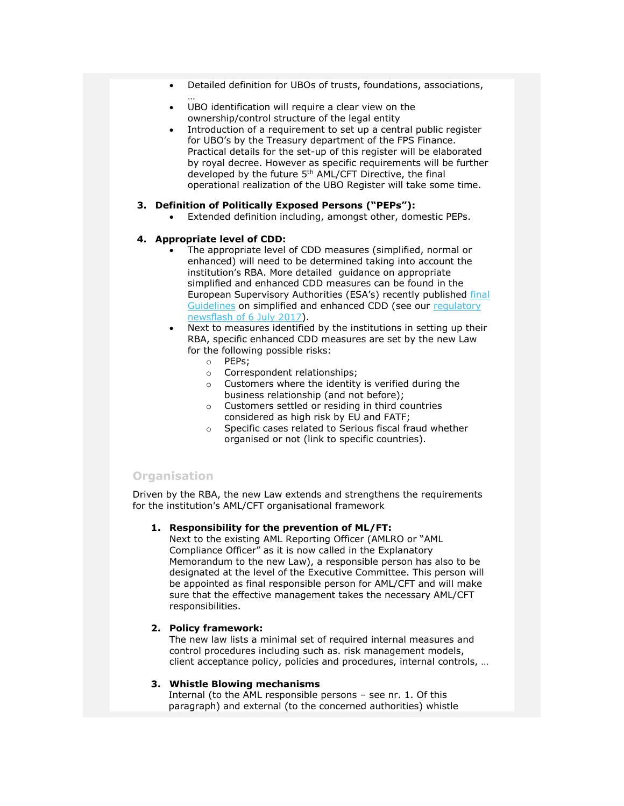- Detailed definition for UBOs of trusts, foundations, associations,
- UBO identification will require a clear view on the ownership/control structure of the legal entity
- Introduction of a requirement to set up a central public register for UBO's by the Treasury department of the FPS Finance. Practical details for the set-up of this register will be elaborated by royal decree. However as specific requirements will be further developed by the future 5th AML/CFT Directive, the final operational realization of the UBO Register will take some time.

#### **3. Definition of Politically Exposed Persons ("PEPs"):**

Extended definition including, amongst other, domestic PEPs.

#### **4. Appropriate level of CDD:**

…

- The appropriate level of CDD measures (simplified, normal or enhanced) will need to be determined taking into account the institution's RBA. More detailed guidance on appropriate simplified and enhanced CDD measures can be found in the European Supervisory Authorities (ESA's) recently published [final](https://www.eba.europa.eu/-/esas-publish-aml-cft-guidelines)  [Guidelines](https://www.eba.europa.eu/-/esas-publish-aml-cft-guidelines) on simplified and enhanced CDD (see our [regulatory](https://www2.deloitte.com/content/dam/Deloitte/be/Documents/financial-services/regulatory-newsflashes/fsi-reg-newsflash-esa-aml-cft-guidelines.pdf)  [newsflash of 6 July 2017\)](https://www2.deloitte.com/content/dam/Deloitte/be/Documents/financial-services/regulatory-newsflashes/fsi-reg-newsflash-esa-aml-cft-guidelines.pdf).
- Next to measures identified by the institutions in setting up their RBA, specific enhanced CDD measures are set by the new Law for the following possible risks:
	- o PEPs;
	- o Correspondent relationships;
	- o Customers where the identity is verified during the business relationship (and not before);
	- o Customers settled or residing in third countries considered as high risk by EU and FATF;
	- o Specific cases related to Serious fiscal fraud whether organised or not (link to specific countries).

### **Organisation**

Driven by the RBA, the new Law extends and strengthens the requirements for the institution's AML/CFT organisational framework

#### **1. Responsibility for the prevention of ML/FT:**

Next to the existing AML Reporting Officer (AMLRO or "AML Compliance Officer" as it is now called in the Explanatory Memorandum to the new Law), a responsible person has also to be designated at the level of the Executive Committee. This person will be appointed as final responsible person for AML/CFT and will make sure that the effective management takes the necessary AML/CFT responsibilities.

#### **2. Policy framework:**

The new law lists a minimal set of required internal measures and control procedures including such as. risk management models, client acceptance policy, policies and procedures, internal controls, …

#### **3. Whistle Blowing mechanisms**

Internal (to the AML responsible persons – see nr. 1. Of this paragraph) and external (to the concerned authorities) whistle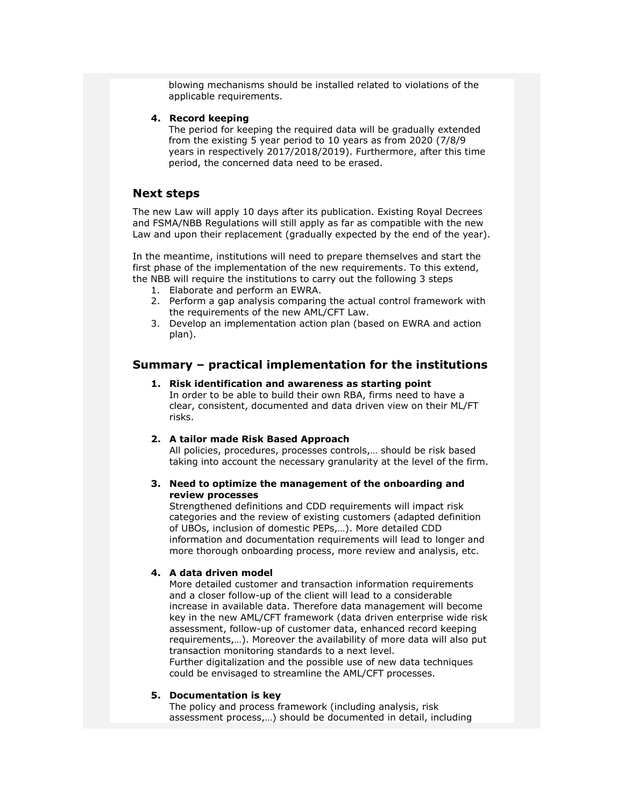blowing mechanisms should be installed related to violations of the applicable requirements.

#### **4. Record keeping**

The period for keeping the required data will be gradually extended from the existing 5 year period to 10 years as from 2020 (7/8/9 years in respectively 2017/2018/2019). Furthermore, after this time period, the concerned data need to be erased.

#### **Next steps**

The new Law will apply 10 days after its publication. Existing Royal Decrees and FSMA/NBB Regulations will still apply as far as compatible with the new Law and upon their replacement (gradually expected by the end of the year).

In the meantime, institutions will need to prepare themselves and start the first phase of the implementation of the new requirements. To this extend, the NBB will require the institutions to carry out the following 3 steps

- 1. Elaborate and perform an EWRA.
- 2. Perform a gap analysis comparing the actual control framework with the requirements of the new AML/CFT Law.
- 3. Develop an implementation action plan (based on EWRA and action plan).

### **Summary – practical implementation for the institutions**

**1. Risk identification and awareness as starting point** In order to be able to build their own RBA, firms need to have a clear, consistent, documented and data driven view on their ML/FT risks.

#### **2. A tailor made Risk Based Approach**

All policies, procedures, processes controls,… should be risk based taking into account the necessary granularity at the level of the firm.

#### **3. Need to optimize the management of the onboarding and review processes**

Strengthened definitions and CDD requirements will impact risk categories and the review of existing customers (adapted definition of UBOs, inclusion of domestic PEPs,…). More detailed CDD information and documentation requirements will lead to longer and more thorough onboarding process, more review and analysis, etc.

#### **4. A data driven model**

More detailed customer and transaction information requirements and a closer follow-up of the client will lead to a considerable increase in available data. Therefore data management will become key in the new AML/CFT framework (data driven enterprise wide risk assessment, follow-up of customer data, enhanced record keeping requirements,…). Moreover the availability of more data will also put transaction monitoring standards to a next level. Further digitalization and the possible use of new data techniques could be envisaged to streamline the AML/CFT processes.

#### **5. Documentation is key**

The policy and process framework (including analysis, risk assessment process,…) should be documented in detail, including